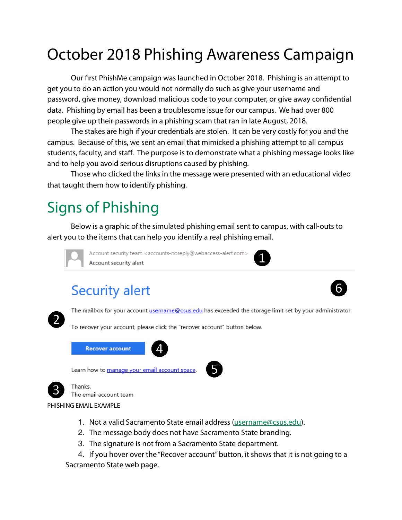# October 2018 Phishing Awareness Campaign

Our first PhishMe campaign was launched in October 2018. Phishing is an attempt to get you to do an action you would not normally do such as give your username and password, give money, download malicious code to your computer, or give away confidential data. Phishing by email has been a troublesome issue for our campus. We had over 800 people give up their passwords in a phishing scam that ran in late August, 2018.

The stakes are high if your credentials are stolen. It can be very costly for you and the campus. Because of this, we sent an email that mimicked a phishing attempt to all campus students, faculty, and staff. The purpose is to demonstrate what a phishing message looks like and to help you avoid serious disruptions caused by phishing.

Those who clicked the links in the message were presented with an educational video that taught them how to identify phishing.

### Signs of Phishing

Below is a graphic of the simulated phishing email sent to campus, with call-outs to alert you to the items that can help you identify a real phishing email.

> Account security team <accounts-noreply@webaccess-alert.com> **Account security alert**

### **Security alert**



The mailbox for your account username@csus.edu has exceeded the storage limit set by your administrator.

To recover your account, please click the "recover account" button below.





Learn how to manage your email account space.



#### Thanks,

The email account team

PHISHING EMAIL EXAMPLE

- 1. Not a valid Sacramento State email address [\(username@csus.edu](mailto:username@csus.edu)).
- 2. The message body does not have Sacramento State branding.
- 3. The signature is not from a Sacramento State department.

4. If you hover over the "Recover account" button, it shows that it is not going to a Sacramento State web page.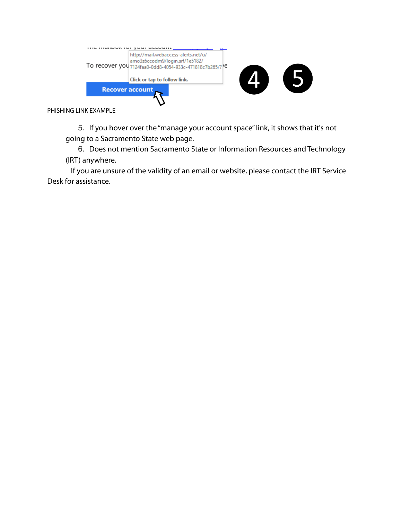| Click or tap to follow link.<br><b>Recover account</b>                                                                           |  |
|----------------------------------------------------------------------------------------------------------------------------------|--|
| http://mail.webaccess-alerts.net/u/<br>amo3z6ccodm9/login.srf/1e5182/<br>To recover you 7124faa0-0dd8-4054-933c-471818c7b265/?/e |  |

PHISHING LINK EXAMPLE

5. If you hover over the "manage your account space" link, it shows that it's not going to a Sacramento State web page.

6. Does not mention Sacramento State or Information Resources and Technology (IRT) anywhere.

If you are unsure of the validity of an email or website, please contact the IRT Service Desk for assistance.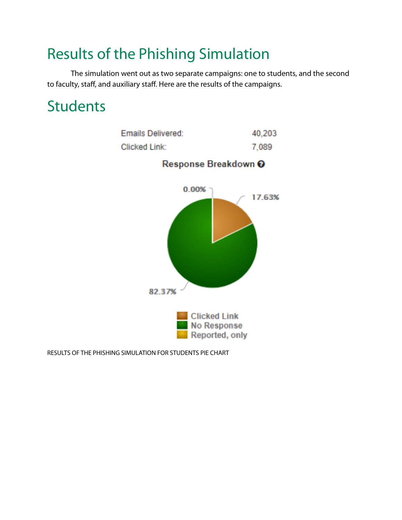# Results of the Phishing Simulation

The simulation went out as two separate campaigns: one to students, and the second to faculty, staff, and auxiliary staff. Here are the results of the campaigns.

## Students

| <b>Emails Delivered:</b> | 40,203 |
|--------------------------|--------|
| Clicked Link:            | 7.089  |



#### Response Breakdown @

RESULTS OF THE PHISHING SIMULATION FOR STUDENTS PIE CHART